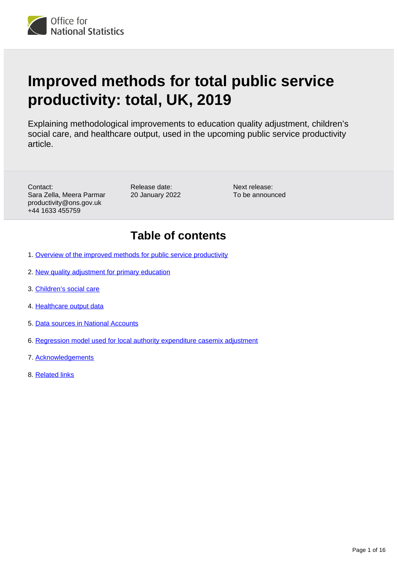

# **Improved methods for total public service productivity: total, UK, 2019**

Explaining methodological improvements to education quality adjustment, children's social care, and healthcare output, used in the upcoming public service productivity article.

Contact: Sara Zella, Meera Parmar productivity@ons.gov.uk +44 1633 455759

Release date: 20 January 2022 Next release: To be announced

## **Table of contents**

- 1. [Overview of the improved methods for public service productivity](#page-1-0)
- 2. [New quality adjustment for primary education](#page-1-1)
- 3. [Children's social care](#page-5-0)
- 4. [Healthcare output data](#page-12-0)
- 5. [Data sources in National Accounts](#page-13-0)
- 6. [Regression model used for local authority expenditure casemix adjustment](#page-14-0)
- 7. [Acknowledgements](#page-15-0)
- 8. [Related links](#page-15-1)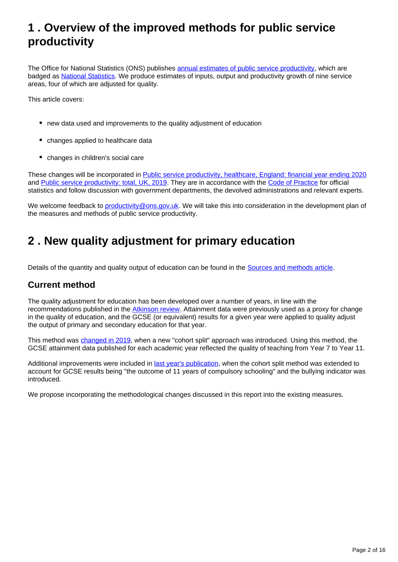## <span id="page-1-0"></span>**1 . Overview of the improved methods for public service productivity**

The Office for National Statistics (ONS) publishes [annual estimates of public service productivity,](https://www.ons.gov.uk/economy/economicoutputandproductivity/publicservicesproductivity/articles/publicservicesproductivityestimatestotalpublicservices/totaluk2018) which are badged as [National Statistics.](https://uksa.statisticsauthority.gov.uk/about-the-authority/uk-statistical-system/types-of-official-statistics/) We produce estimates of inputs, output and productivity growth of nine service areas, four of which are adjusted for quality.

This article covers:

- new data used and improvements to the quality adjustment of education
- changes applied to healthcare data
- changes in children's social care

These changes will be incorporated in [Public service productivity, healthcare, England: financial year ending 2020](http://www.ons.gov.uk/releases/publicserviceproductivityhealthcareenglandfinancialyearending2020) and [Public service productivity: total, UK, 2019.](http://www.ons.gov.uk/releases/publicserviceproductivitytotaluk2019) They are in accordance with the [Code of Practice](https://code.statisticsauthority.gov.uk/the-code/) for official statistics and follow discussion with government departments, the devolved administrations and relevant experts.

We welcome feedback to [productivity@ons.gov.uk](mailto:productivity@ons.gov.uk). We will take this into consideration in the development plan of the measures and methods of public service productivity.

## <span id="page-1-1"></span>**2 . New quality adjustment for primary education**

Details of the quantity and quality output of education can be found in the [Sources and methods article](https://www.ons.gov.uk/economy/economicoutputandproductivity/publicservicesproductivity/methodologies/sourcesandmethodsforpublicserviceproductivityestimates).

## **Current method**

The quality adjustment for education has been developed over a number of years, in line with the recommendations published in the [Atkinson review](https://webarchive.nationalarchives.gov.uk/ukgwa/20160105160709/http:/www.ons.gov.uk/ons/guide-method/method-quality/specific/public-sector-methodology/articles/atkinson-review-final-report.pdf). Attainment data were previously used as a proxy for change in the quality of education, and the GCSE (or equivalent) results for a given year were applied to quality adjust the output of primary and secondary education for that year.

This method was [changed in 2019,](https://www.ons.gov.uk/economy/economicoutputandproductivity/publicservicesproductivity/methodologies/improvedmethodsfortotalpublicserviceproductivitytotaluk2017) when a new "cohort split" approach was introduced. Using this method, the GCSE attainment data published for each academic year reflected the quality of teaching from Year 7 to Year 11.

Additional improvements were included in [last year's publication,](https://www.ons.gov.uk/economy/economicoutputandproductivity/publicservicesproductivity/methodologies/improvedmethodsfortotalpublicserviceproductivitytotaluk2018) when the cohort split method was extended to account for GCSE results being "the outcome of 11 years of compulsory schooling" and the bullying indicator was introduced.

We propose incorporating the methodological changes discussed in this report into the existing measures.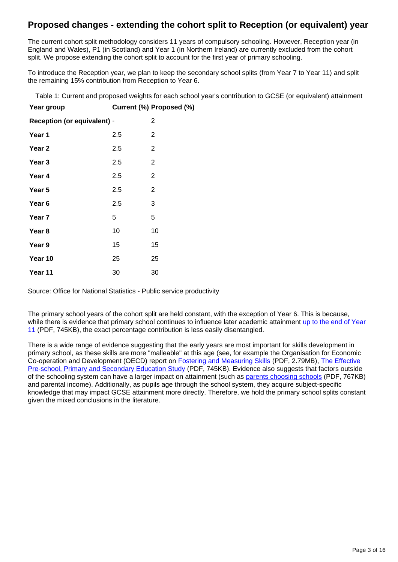## **Proposed changes - extending the cohort split to Reception (or equivalent) year**

The current cohort split methodology considers 11 years of compulsory schooling. However, Reception year (in England and Wales), P1 (in Scotland) and Year 1 (in Northern Ireland) are currently excluded from the cohort split. We propose extending the cohort split to account for the first year of primary schooling.

To introduce the Reception year, we plan to keep the secondary school splits (from Year 7 to Year 11) and split the remaining 15% contribution from Reception to Year 6.

Table 1: Current and proposed weights for each school year's contribution to GCSE (or equivalent) attainment

| Year group                         |     | Current (%) Proposed (%) |
|------------------------------------|-----|--------------------------|
| <b>Reception (or equivalent) -</b> |     | $\overline{2}$           |
| Year 1                             | 2.5 | 2                        |
| Year 2                             | 2.5 | $\overline{2}$           |
| Year 3                             | 2.5 | $\overline{2}$           |
| Year 4                             | 2.5 | $\overline{2}$           |
| Year 5                             | 2.5 | $\overline{2}$           |
| Year <sub>6</sub>                  | 2.5 | 3                        |
| Year 7                             | 5   | 5                        |
| Year 8                             | 10  | 10                       |
| Year 9                             | 15  | 15                       |
| Year 10                            | 25  | 25                       |
| Year 11                            | 30  | 30                       |

Source: Office for National Statistics - Public service productivity

The primary school years of the cohort split are held constant, with the exception of Year 6. This is because, while there is evidence that primary school continues to influence later academic attainment up to the end of Year [11](https://www.ucl.ac.uk/ioe/sites/ioe/files/RB352_-_Influences_on_Students_GCSE_Attainment_and_Progress_at_Age_16_Brief.pdf) (PDF, 745KB), the exact percentage contribution is less easily disentangled.

There is a wide range of evidence suggesting that the early years are most important for skills development in primary school, as these skills are more "malleable" at this age (see, for example the Organisation for Economic Co-operation and Development (OECD) report on **Fostering and Measuring Skills** (PDF, 2.79MB), The Effective [Pre-school, Primary and Secondary Education Study](https://assets.publishing.service.gov.uk/government/uploads/system/uploads/attachment_data/file/455670/RB455_Effective_pre-school_primary_and_secondary_education_project.pdf.pdf) (PDF, 745KB). Evidence also suggests that factors outside of the schooling system can have a larger impact on attainment (such as [parents choosing schools](http://eprints.lse.ac.uk/83602/1/dp1472.pdf) (PDF, 767KB) and parental income). Additionally, as pupils age through the school system, they acquire subject-specific knowledge that may impact GCSE attainment more directly. Therefore, we hold the primary school splits constant given the mixed conclusions in the literature.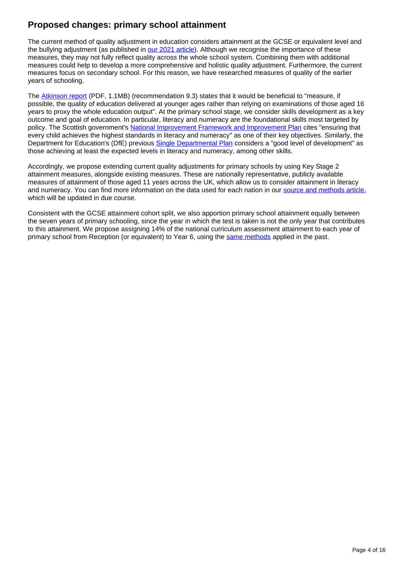## **Proposed changes: primary school attainment**

The current method of quality adjustment in education considers attainment at the GCSE or equivalent level and the bullying adjustment (as published in [our 2021 article\)](https://www.ons.gov.uk/economy/economicoutputandproductivity/publicservicesproductivity/methodologies/improvedmethodsfortotalpublicserviceproductivitytotaluk2018). Although we recognise the importance of these measures, they may not fully reflect quality across the whole school system. Combining them with additional measures could help to develop a more comprehensive and holistic quality adjustment. Furthermore, the current measures focus on secondary school. For this reason, we have researched measures of quality of the earlier years of schooling.

The [Atkinson report](https://webarchive.nationalarchives.gov.uk/ukgwa/20160109014415/http:/www.ons.gov.uk/ons/dcp171766_259595.pdf) (PDF, 1.1MB) (recommendation 9.3) states that it would be beneficial to "measure, if possible, the quality of education delivered at younger ages rather than relying on examinations of those aged 16 years to proxy the whole education output". At the primary school stage, we consider skills development as a key outcome and goal of education. In particular, literacy and numeracy are the foundational skills most targeted by policy. The Scottish government's [National Improvement Framework and Improvement Plan](https://www.gov.scot/publications/2020-national-improvement-framework-improvement-plan-summary/) cites "ensuring that every child achieves the highest standards in literacy and numeracy" as one of their key objectives. Similarly, the Department for Education's (DfE) previous **[Single Departmental Plan](https://www.gov.uk/government/publications/department-for-education-single-departmental-plan/department-for-education-single-departmental-plan--2)** considers a "good level of development" as those achieving at least the expected levels in literacy and numeracy, among other skills.

Accordingly, we propose extending current quality adjustments for primary schools by using Key Stage 2 attainment measures, alongside existing measures. These are nationally representative, publicly available measures of attainment of those aged 11 years across the UK, which allow us to consider attainment in literacy and numeracy. You can find more information on the data used for each nation in our [source and methods article](https://www.ons.gov.uk/economy/economicoutputandproductivity/publicservicesproductivity/methodologies/sourcesandmethodsforpublicserviceproductivityestimates), which will be updated in due course.

Consistent with the GCSE attainment cohort split, we also apportion primary school attainment equally between the seven years of primary schooling, since the year in which the test is taken is not the only year that contributes to this attainment. We propose assigning 14% of the national curriculum assessment attainment to each year of primary school from Reception (or equivalent) to Year 6, using the [same methods](https://www.ons.gov.uk/economy/economicoutputandproductivity/publicservicesproductivity/methodologies/improvedmethodsfortotalpublicserviceproductivitytotaluk2018) applied in the past.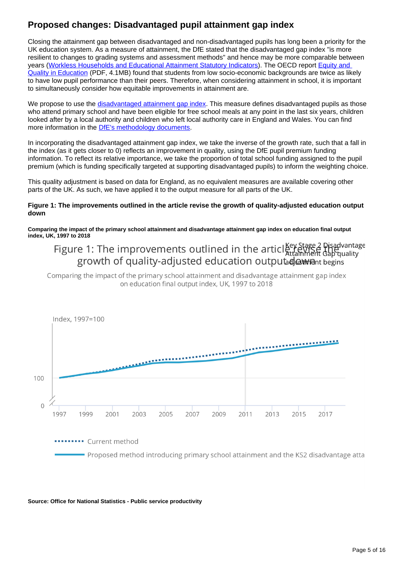## **Proposed changes: Disadvantaged pupil attainment gap index**

Closing the attainment gap between disadvantaged and non-disadvantaged pupils has long been a priority for the UK education system. As a measure of attainment, the DfE stated that the disadvantaged gap index "is more resilient to changes to grading systems and assessment methods" and hence may be more comparable between years ([Workless Households and Educational Attainment Statutory Indicators\)](https://www.gov.uk/government/publications/workless-households-and-educational-attainment-statutory-indicators-2021/workless-households-and-educational-attainment-statutory-indicators-2021#:~:text=The%20disadvantage%20gap%20index%3A%20the,pupils%20and%20all%20other%20pupils.&text=The%20maximum%20possible%20gap%20is,perform%20better%20than%20other%20pupils). The OECD report [Equity and](https://www.oecd.org/education/school/50293148.pdf)  [Quality in Education](https://www.oecd.org/education/school/50293148.pdf) (PDF, 4.1MB) found that students from low socio-economic backgrounds are twice as likely to have low pupil performance than their peers. Therefore, when considering attainment in school, it is important to simultaneously consider how equitable improvements in attainment are.

We propose to use the [disadvantaged attainment gap index](https://www.gov.uk/government/statistics/national-curriculum-assessments-key-stage-2-2019-revised). This measure defines disadvantaged pupils as those who attend primary school and have been eligible for free school meals at any point in the last six years, children looked after by a local authority and children who left local authority care in England and Wales. You can find more information in the **[DfE's methodology documents](https://www.gov.uk/government/statistics/measuring-disadvantaged-pupils-attainment-gaps-over-time)**.

In incorporating the disadvantaged attainment gap index, we take the inverse of the growth rate, such that a fall in the index (as it gets closer to 0) reflects an improvement in quality, using the DfE pupil premium funding information. To reflect its relative importance, we take the proportion of total school funding assigned to the pupil premium (which is funding specifically targeted at supporting disadvantaged pupils) to inform the weighting choice.

This quality adjustment is based on data for England, as no equivalent measures are available covering other parts of the UK. As such, we have applied it to the output measure for all parts of the UK.

#### **Figure 1: The improvements outlined in the article revise the growth of quality-adjusted education output down**

**Comparing the impact of the primary school attainment and disadvantage attainment gap index on education final output index, UK, 1997 to 2018**

## Figure 1: The improvements outlined in the article attamment Gap quality growth of quality-adjusted education outputad awament begins

Comparing the impact of the primary school attainment and disadvantage attainment gap index on education final output index, UK, 1997 to 2018



........ Current method Proposed method introducing primary school attainment and the KS2 disadvantage atta

**Source: Office for National Statistics - Public service productivity**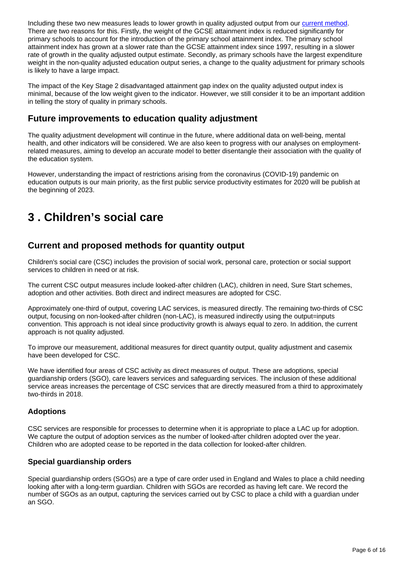Including these two new measures leads to lower growth in quality adjusted output from our [current method.](https://www.ons.gov.uk/economy/economicoutputandproductivity/publicservicesproductivity/articles/publicservicesproductivityestimatestotalpublicservices/totaluk2018) There are two reasons for this. Firstly, the weight of the GCSE attainment index is reduced significantly for primary schools to account for the introduction of the primary school attainment index. The primary school attainment index has grown at a slower rate than the GCSE attainment index since 1997, resulting in a slower rate of growth in the quality adjusted output estimate. Secondly, as primary schools have the largest expenditure weight in the non-quality adjusted education output series, a change to the quality adjustment for primary schools is likely to have a large impact.

The impact of the Key Stage 2 disadvantaged attainment gap index on the quality adjusted output index is minimal, because of the low weight given to the indicator. However, we still consider it to be an important addition in telling the story of quality in primary schools.

## **Future improvements to education quality adjustment**

The quality adjustment development will continue in the future, where additional data on well-being, mental health, and other indicators will be considered. We are also keen to progress with our analyses on employmentrelated measures, aiming to develop an accurate model to better disentangle their association with the quality of the education system.

However, understanding the impact of restrictions arising from the coronavirus (COVID-19) pandemic on education outputs is our main priority, as the first public service productivity estimates for 2020 will be publish at the beginning of 2023.

## <span id="page-5-0"></span>**3 . Children's social care**

## **Current and proposed methods for quantity output**

Children's social care (CSC) includes the provision of social work, personal care, protection or social support services to children in need or at risk.

The current CSC output measures include looked-after children (LAC), children in need, Sure Start schemes, adoption and other activities. Both direct and indirect measures are adopted for CSC.

Approximately one-third of output, covering LAC services, is measured directly. The remaining two-thirds of CSC output, focusing on non-looked-after children (non-LAC), is measured indirectly using the output=inputs convention. This approach is not ideal since productivity growth is always equal to zero. In addition, the current approach is not quality adjusted.

To improve our measurement, additional measures for direct quantity output, quality adjustment and casemix have been developed for CSC.

We have identified four areas of CSC activity as direct measures of output. These are adoptions, special guardianship orders (SGO), care leavers services and safeguarding services. The inclusion of these additional service areas increases the percentage of CSC services that are directly measured from a third to approximately two-thirds in 2018.

## **Adoptions**

CSC services are responsible for processes to determine when it is appropriate to place a LAC up for adoption. We capture the output of adoption services as the number of looked-after children adopted over the year. Children who are adopted cease to be reported in the data collection for looked-after children.

## **Special guardianship orders**

Special guardianship orders (SGOs) are a type of care order used in England and Wales to place a child needing looking after with a long-term guardian. Children with SGOs are recorded as having left care. We record the number of SGOs as an output, capturing the services carried out by CSC to place a child with a guardian under an SGO.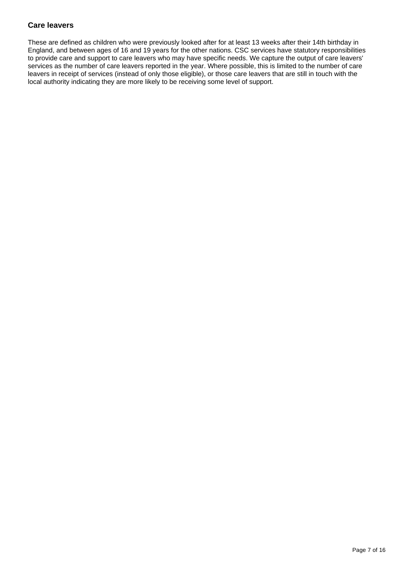### **Care leavers**

These are defined as children who were previously looked after for at least 13 weeks after their 14th birthday in England, and between ages of 16 and 19 years for the other nations. CSC services have statutory responsibilities to provide care and support to care leavers who may have specific needs. We capture the output of care leavers' services as the number of care leavers reported in the year. Where possible, this is limited to the number of care leavers in receipt of services (instead of only those eligible), or those care leavers that are still in touch with the local authority indicating they are more likely to be receiving some level of support.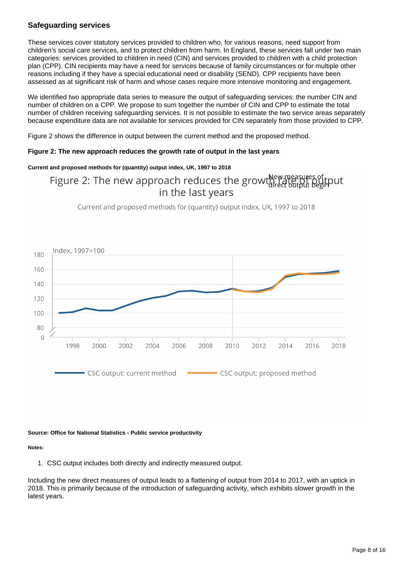## **Safeguarding services**

These services cover statutory services provided to children who, for various reasons, need support from children's social care services, and to protect children from harm. In England, these services fall under two main categories: services provided to children in need (CIN) and services provided to children with a child protection plan (CPP). CIN recipients may have a need for services because of family circumstances or for multiple other reasons including if they have a special educational need or disability (SEND). CPP recipients have been assessed as at significant risk of harm and whose cases require more intensive monitoring and engagement.

We identified two appropriate data series to measure the output of safeguarding services: the number CIN and number of children on a CPP. We propose to sum together the number of CIN and CPP to estimate the total number of children receiving safeguarding services. It is not possible to estimate the two service areas separately because expenditure data are not available for services provided for CIN separately from those provided to CPP.

Figure 2 shows the difference in output between the current method and the proposed method.

#### **Figure 2: The new approach reduces the growth rate of output in the last years**

#### **Current and proposed methods for (quantity) output index, UK, 1997 to 2018**

## Figure 2: The new approach reduces the growth Rew measures of tout in the last years

Current and proposed methods for (quantity) output index, UK, 1997 to 2018



#### **Source: Office for National Statistics - Public service productivity**

#### **Notes:**

1. CSC output includes both directly and indirectly measured output.

Including the new direct measures of output leads to a flattening of output from 2014 to 2017, with an uptick in 2018. This is primarily because of the introduction of safeguarding activity, which exhibits slower growth in the latest years.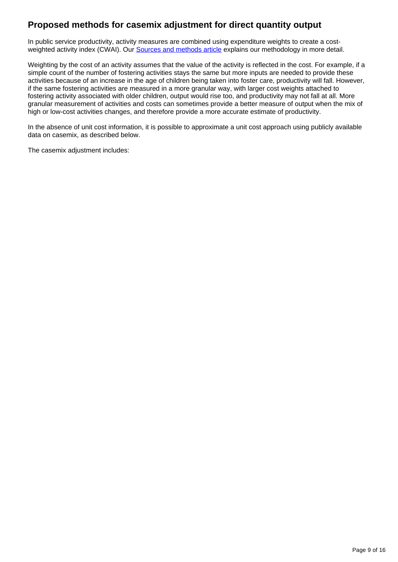## **Proposed methods for casemix adjustment for direct quantity output**

In public service productivity, activity measures are combined using expenditure weights to create a costweighted activity index (CWAI). Our **Sources and methods article** explains our methodology in more detail.

Weighting by the cost of an activity assumes that the value of the activity is reflected in the cost. For example, if a simple count of the number of fostering activities stays the same but more inputs are needed to provide these activities because of an increase in the age of children being taken into foster care, productivity will fall. However, if the same fostering activities are measured in a more granular way, with larger cost weights attached to fostering activity associated with older children, output would rise too, and productivity may not fall at all. More granular measurement of activities and costs can sometimes provide a better measure of output when the mix of high or low-cost activities changes, and therefore provide a more accurate estimate of productivity.

In the absence of unit cost information, it is possible to approximate a unit cost approach using publicly available data on casemix, as described below.

The casemix adiustment includes: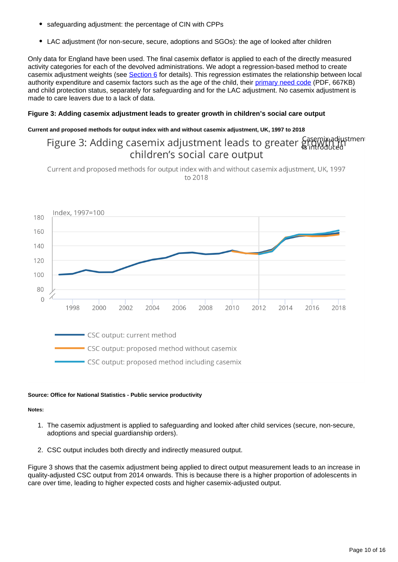- safeguarding adjustment: the percentage of CIN with CPPs
- LAC adjustment (for non-secure, secure, adoptions and SGOs): the age of looked after children

Only data for England have been used. The final casemix deflator is applied to each of the directly measured activity categories for each of the devolved administrations. We adopt a regression-based method to create casemix adjustment weights (see [Section 6](https://www.ons.gov.uk/economy/economicoutputandproductivity/publicservicesproductivity/methodologies/improvedmethodsfortotalpublicserviceproductivitytotaluk2019#regression-model-used-for-local-authority-expenditure-casemix-adjustment) for details). This regression estimates the relationship between local authority expenditure and casemix factors such as the age of the child, their [primary need code](https://assets.publishing.service.gov.uk/government/uploads/system/uploads/attachment_data/file/401149/CIN14-15_Guide_v1.1_web_version.pdf) (PDF, 667KB) and child protection status, separately for safeguarding and for the LAC adjustment. No casemix adjustment is made to care leavers due to a lack of data.

#### **Figure 3: Adding casemix adjustment leads to greater growth in children's social care output**

#### **Current and proposed methods for output index with and without casemix adjustment, UK, 1997 to 2018**

## Figure 3: Adding casemix adjustment leads to greater Gasemix adjustment children's social care output

Current and proposed methods for output index with and without casemix adjustment, UK, 1997 to 2018



#### **Source: Office for National Statistics - Public service productivity**

#### **Notes:**

- 1. The casemix adjustment is applied to safeguarding and looked after child services (secure, non-secure, adoptions and special guardianship orders).
- 2. CSC output includes both directly and indirectly measured output.

Figure 3 shows that the casemix adjustment being applied to direct output measurement leads to an increase in quality-adjusted CSC output from 2014 onwards. This is because there is a higher proportion of adolescents in care over time, leading to higher expected costs and higher casemix-adjusted output.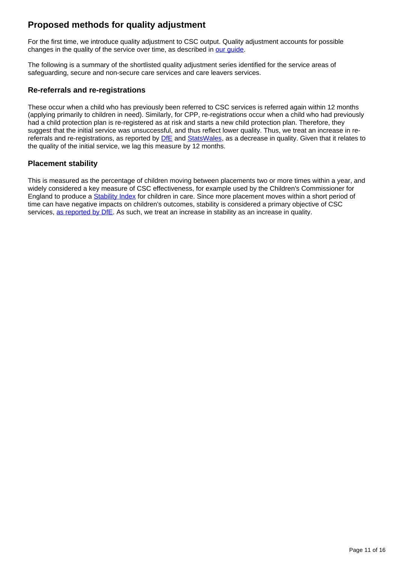## **Proposed methods for quality adjustment**

For the first time, we introduce quality adjustment to CSC output. Quality adjustment accounts for possible changes in the quality of the service over time, as described in our quide.

The following is a summary of the shortlisted quality adjustment series identified for the service areas of safeguarding, secure and non-secure care services and care leavers services.

### **Re-referrals and re-registrations**

These occur when a child who has previously been referred to CSC services is referred again within 12 months (applying primarily to children in need). Similarly, for CPP, re-registrations occur when a child who had previously had a child protection plan is re-registered as at risk and starts a new child protection plan. Therefore, they suggest that the initial service was unsuccessful, and thus reflect lower quality. Thus, we treat an increase in rereferrals and re-registrations, as reported by **DfE** and [StatsWales,](https://statswales.gov.wales/catalogue/health-and-social-care/social-services/childrens-services/children-in-need) as a decrease in quality. Given that it relates to the quality of the initial service, we lag this measure by 12 months.

### **Placement stability**

This is measured as the percentage of children moving between placements two or more times within a year, and widely considered a key measure of CSC effectiveness, for example used by the Children's Commissioner for England to produce a [Stability Index](https://www.childrenscommissioner.gov.uk/report/stability-index-2020/) for children in care. Since more placement moves within a short period of time can have negative impacts on children's outcomes, stability is considered a primary objective of CSC services, [as reported by DfE.](https://assets.publishing.service.gov.uk/government/uploads/system/uploads/attachment_data/file/264952/final_improving_permanence_data_pack_2013_sept.pdf) As such, we treat an increase in stability as an increase in quality.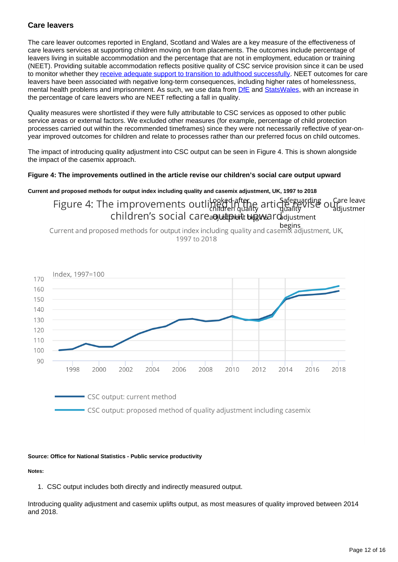### **Care leavers**

The care leaver outcomes reported in England, Scotland and Wales are a key measure of the effectiveness of care leavers services at supporting children moving on from placements. The outcomes include percentage of leavers living in suitable accommodation and the percentage that are not in employment, education or training (NEET). Providing suitable accommodation reflects positive quality of CSC service provision since it can be used to monitor whether they [receive adequate support to transition to adulthood successfully](https://assets.publishing.service.gov.uk/government/uploads/system/uploads/attachment_data/file/850306/Children_looked_after_in_England_2019_Text.pdf). NEET outcomes for care leavers have been associated with negative long-term consequences, including higher rates of homelessness, mental health problems and imprisonment. As such, we use data from **DfE** and [StatsWales](https://statswales.gov.wales/Catalogue/Health-and-Social-Care/Social-Services/Childrens-Services/Children-Looked-After/Care-Leavers-at-19th-Birthday), with an increase in the percentage of care leavers who are NEET reflecting a fall in quality.

Quality measures were shortlisted if they were fully attributable to CSC services as opposed to other public service areas or external factors. We excluded other measures (for example, percentage of child protection processes carried out within the recommended timeframes) since they were not necessarily reflective of year-onyear improved outcomes for children and relate to processes rather than our preferred focus on child outcomes.

The impact of introducing quality adjustment into CSC output can be seen in Figure 4. This is shown alongside the impact of the casemix approach.

#### **Figure 4: The improvements outlined in the article revise our children's social care output upward**

**Current and proposed methods for output index including quality and casemix adjustment, UK, 1997 to 2018**

Figure 4: The improvements outling of after articlate with of a Care leave children's social carea diutiplent between didiustment

begins<br>Current and proposed methods for output index including quality and casemix adjustment, UK, 1997 to 2018



#### **Source: Office for National Statistics - Public service productivity**

**Notes:**

1. CSC output includes both directly and indirectly measured output.

Introducing quality adjustment and casemix uplifts output, as most measures of quality improved between 2014 and 2018.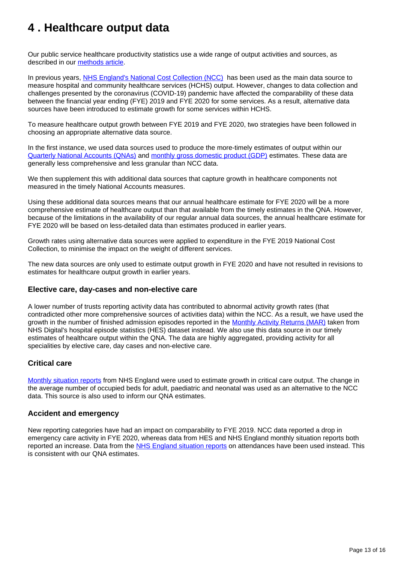## <span id="page-12-0"></span>**4 . Healthcare output data**

Our public service healthcare productivity statistics use a wide range of output activities and sources, as described in our [methods article.](https://www.ons.gov.uk/economy/economicoutputandproductivity/publicservicesproductivity/methodologies/sourcesandmethodsforpublicserviceproductivityestimates)

In previous years, [NHS England's National Cost Collection \(NCC\)](https://www.england.nhs.uk/national-cost-collection/) has been used as the main data source to measure hospital and community healthcare services (HCHS) output. However, changes to data collection and challenges presented by the coronavirus (COVID-19) pandemic have affected the comparability of these data between the financial year ending (FYE) 2019 and FYE 2020 for some services. As a result, alternative data sources have been introduced to estimate growth for some services within HCHS.

To measure healthcare output growth between FYE 2019 and FYE 2020, two strategies have been followed in choosing an appropriate alternative data source.

In the first instance, we used data sources used to produce the more-timely estimates of output within our [Quarterly National Accounts \(QNAs\)](https://www.ons.gov.uk/economy/grossdomesticproductgdp/datasets/breakdownofgeneralgovernmentfinalconsumptionexpenditure) and [monthly gross domestic product \(GDP\)](https://www.ons.gov.uk/economy/grossdomesticproductgdp/bulletins/gdpmonthlyestimateuk/november2021) estimates. These data are generally less comprehensive and less granular than NCC data.

We then supplement this with additional data sources that capture growth in healthcare components not measured in the timely National Accounts measures.

Using these additional data sources means that our annual healthcare estimate for FYE 2020 will be a more comprehensive estimate of healthcare output than that available from the timely estimates in the QNA. However, because of the limitations in the availability of our regular annual data sources, the annual healthcare estimate for FYE 2020 will be based on less-detailed data than estimates produced in earlier years.

Growth rates using alternative data sources were applied to expenditure in the FYE 2019 National Cost Collection, to minimise the impact on the weight of different services.

The new data sources are only used to estimate output growth in FYE 2020 and have not resulted in revisions to estimates for healthcare output growth in earlier years.

#### **Elective care, day-cases and non-elective care**

A lower number of trusts reporting activity data has contributed to abnormal activity growth rates (that contradicted other more comprehensive sources of activities data) within the NCC. As a result, we have used the growth in the number of finished admission episodes reported in the [Monthly Activity Returns \(MAR\)](https://digital.nhs.uk/data-and-information/publications/statistical/hospital-episode-statistics-for-admitted-patient-care-outpatient-and-accident-and-emergency-data/april-2021---may-2021) taken from NHS Digital's hospital episode statistics (HES) dataset instead. We also use this data source in our timely estimates of healthcare output within the QNA. The data are highly aggregated, providing activity for all specialities by elective care, day cases and non-elective care.

### **Critical care**

[Monthly situation reports](https://www.england.nhs.uk/statistics/statistical-work-areas/critical-care-capacity/) from NHS England were used to estimate growth in critical care output. The change in the average number of occupied beds for adult, paediatric and neonatal was used as an alternative to the NCC data. This source is also used to inform our QNA estimates.

### **Accident and emergency**

New reporting categories have had an impact on comparability to FYE 2019. NCC data reported a drop in emergency care activity in FYE 2020, whereas data from HES and NHS England monthly situation reports both reported an increase. Data from the [NHS England situation reports](https://www.england.nhs.uk/statistics/statistical-work-areas/ae-waiting-times-and-activity/) on attendances have been used instead. This is consistent with our QNA estimates.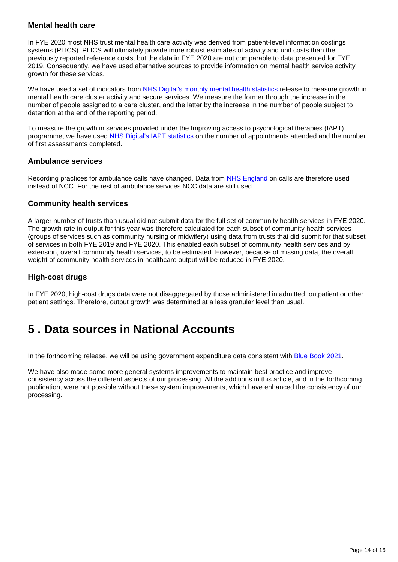### **Mental health care**

In FYE 2020 most NHS trust mental health care activity was derived from patient-level information costings systems (PLICS). PLICS will ultimately provide more robust estimates of activity and unit costs than the previously reported reference costs, but the data in FYE 2020 are not comparable to data presented for FYE 2019. Consequently, we have used alternative sources to provide information on mental health service activity growth for these services.

We have used a set of indicators from [NHS Digital's monthly mental health statistics](https://digital.nhs.uk/data-and-information/publications/statistical/mental-health-services-monthly-statistics) release to measure growth in mental health care cluster activity and secure services. We measure the former through the increase in the number of people assigned to a care cluster, and the latter by the increase in the number of people subject to detention at the end of the reporting period.

To measure the growth in services provided under the Improving access to psychological therapies (IAPT) programme, we have used [NHS Digital's IAPT statistics](https://digital.nhs.uk/data-and-information/publications/statistical/psychological-therapies-report-on-the-use-of-iapt-services) on the number of appointments attended and the number of first assessments completed.

### **Ambulance services**

Recording practices for ambulance calls have changed. Data from [NHS England](https://www.england.nhs.uk/statistics/statistical-work-areas/ambulance-quality-indicators/) on calls are therefore used instead of NCC. For the rest of ambulance services NCC data are still used.

### **Community health services**

A larger number of trusts than usual did not submit data for the full set of community health services in FYE 2020. The growth rate in output for this year was therefore calculated for each subset of community health services (groups of services such as community nursing or midwifery) using data from trusts that did submit for that subset of services in both FYE 2019 and FYE 2020. This enabled each subset of community health services and by extension, overall community health services, to be estimated. However, because of missing data, the overall weight of community health services in healthcare output will be reduced in FYE 2020.

### **High-cost drugs**

In FYE 2020, high-cost drugs data were not disaggregated by those administered in admitted, outpatient or other patient settings. Therefore, output growth was determined at a less granular level than usual.

## <span id="page-13-0"></span>**5 . Data sources in National Accounts**

In the forthcoming release, we will be using government expenditure data consistent with [Blue Book 2021](https://www.ons.gov.uk/economy/grossdomesticproductgdp/compendium/unitedkingdomnationalaccountsthebluebook/2021).

We have also made some more general systems improvements to maintain best practice and improve consistency across the different aspects of our processing. All the additions in this article, and in the forthcoming publication, were not possible without these system improvements, which have enhanced the consistency of our processing.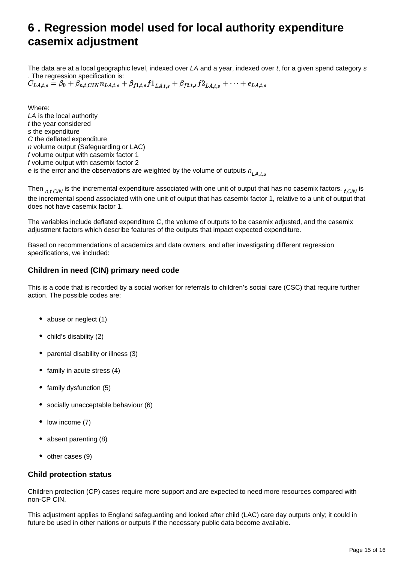## <span id="page-14-0"></span>**6 . Regression model used for local authority expenditure casemix adjustment**

The data are at a local geographic level, indexed over LA and a year, indexed over t, for a given spend category s . The regression specification is:<br> $C_{LA,t,s} = \beta_0 + \beta_{n,t,CIN} n_{LA,t,s} + \beta_{f1,t,s} f1_{LA,t,s} + \beta_{f2,t,s} f2_{LA,t,s} + \cdots + e_{LA,t,s}$ 

Where: LA is the local authority t the year considered s the expenditure C the deflated expenditure n volume output (Safeguarding or LAC) f volume output with casemix factor 1 f volume output with casemix factor 2 e is the error and the observations are weighted by the volume of outputs  $n_{L,A,t,s}$ 

Then  $n_{t,CLN}$  is the incremental expenditure associated with one unit of output that has no casemix factors.  $r_{CLN}$  is the incremental spend associated with one unit of output that has casemix factor 1, relative to a unit of output that does not have casemix factor 1.

The variables include deflated expenditure C, the volume of outputs to be casemix adjusted, and the casemix adjustment factors which describe features of the outputs that impact expected expenditure.

Based on recommendations of academics and data owners, and after investigating different regression specifications, we included:

### **Children in need (CIN) primary need code**

This is a code that is recorded by a social worker for referrals to children's social care (CSC) that require further action. The possible codes are:

- abuse or neglect (1)
- child's disability (2)
- parental disability or illness (3)
- family in acute stress  $(4)$
- family dysfunction (5)
- socially unacceptable behaviour (6)
- $\bullet$  low income (7)
- absent parenting (8)
- $\bullet$  other cases (9)

### **Child protection status**

Children protection (CP) cases require more support and are expected to need more resources compared with non-CP CIN.

This adjustment applies to England safeguarding and looked after child (LAC) care day outputs only; it could in future be used in other nations or outputs if the necessary public data become available.